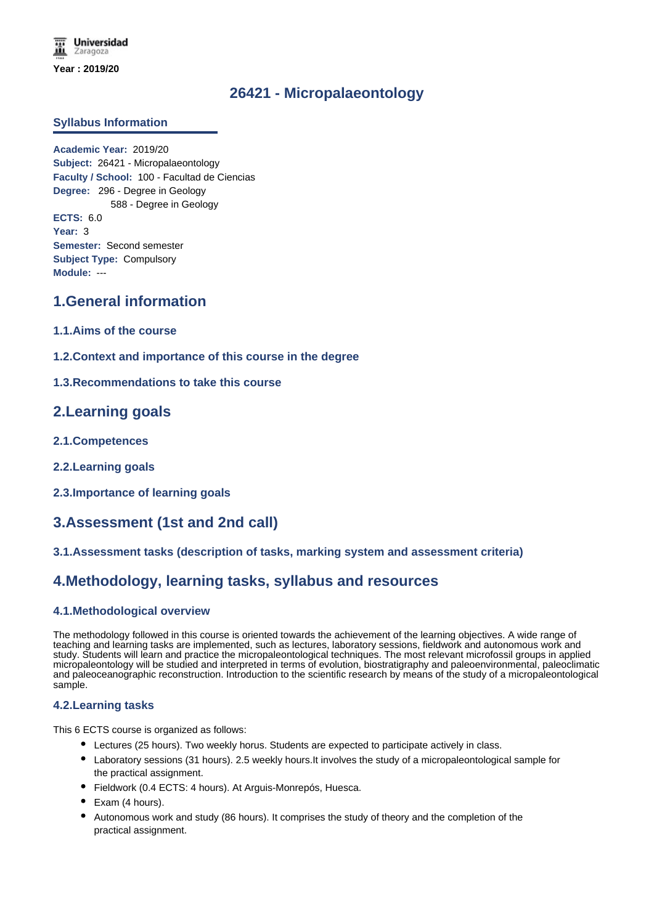# **26421 - Micropalaeontology**

## **Syllabus Information**

**Academic Year:** 2019/20 **Subject:** 26421 - Micropalaeontology **Faculty / School:** 100 - Facultad de Ciencias **Degree:** 296 - Degree in Geology 588 - Degree in Geology **ECTS:** 6.0 **Year:** 3 **Semester:** Second semester **Subject Type:** Compulsory **Module:** ---

# **1.General information**

- **1.1.Aims of the course**
- **1.2.Context and importance of this course in the degree**
- **1.3.Recommendations to take this course**

## **2.Learning goals**

- **2.1.Competences**
- **2.2.Learning goals**
- **2.3.Importance of learning goals**

# **3.Assessment (1st and 2nd call)**

## **3.1.Assessment tasks (description of tasks, marking system and assessment criteria)**

# **4.Methodology, learning tasks, syllabus and resources**

### **4.1.Methodological overview**

The methodology followed in this course is oriented towards the achievement of the learning objectives. A wide range of teaching and learning tasks are implemented, such as lectures, laboratory sessions, fieldwork and autonomous work and study. Students will learn and practice the micropaleontological techniques. The most relevant microfossil groups in applied micropaleontology will be studied and interpreted in terms of evolution, biostratigraphy and paleoenvironmental, paleoclimatic and paleoceanographic reconstruction. Introduction to the scientific research by means of the study of a micropaleontological sample.

### **4.2.Learning tasks**

This 6 ECTS course is organized as follows:

- Lectures (25 hours). Two weekly horus. Students are expected to participate actively in class.
- Laboratory sessions (31 hours). 2.5 weekly hours.It involves the study of a micropaleontological sample for the practical assignment.
- Fieldwork (0.4 ECTS: 4 hours). At Arguis-Monrepós, Huesca.
- Exam (4 hours).
- Autonomous work and study (86 hours). It comprises the study of theory and the completion of the practical assignment.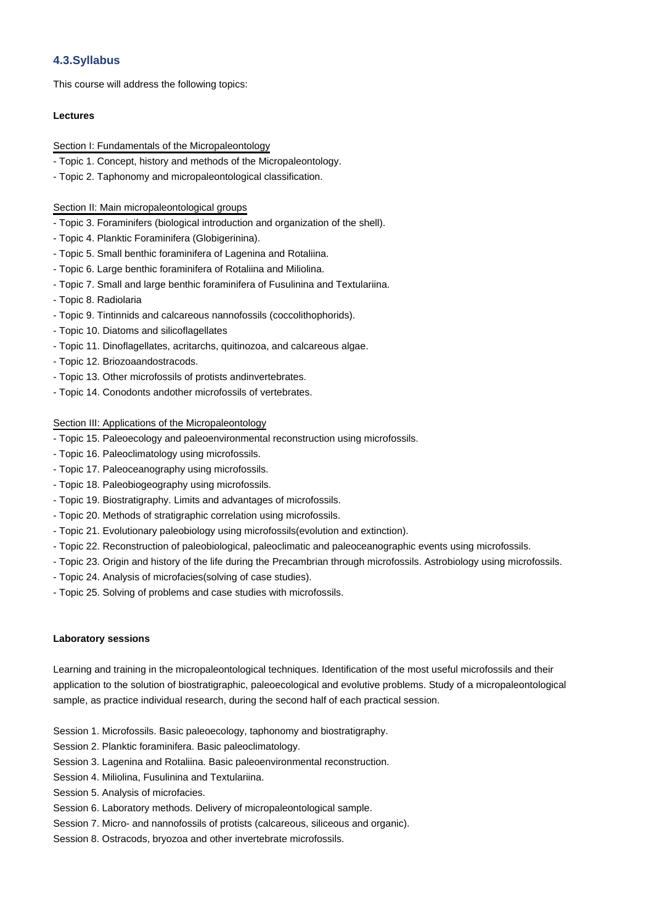## **4.3.Syllabus**

This course will address the following topics:

### **Lectures**

#### Section I: Fundamentals of the Micropaleontology

- Topic 1. Concept, history and methods of the Micropaleontology.
- Topic 2. Taphonomy and micropaleontological classification.

#### Section II: Main micropaleontological groups

- Topic 3. Foraminifers (biological introduction and organization of the shell).
- Topic 4. Planktic Foraminifera (Globigerinina).
- Topic 5. Small benthic foraminifera of Lagenina and Rotaliina.
- Topic 6. Large benthic foraminifera of Rotaliina and Miliolina.
- Topic 7. Small and large benthic foraminifera of Fusulinina and Textulariina.
- Topic 8. Radiolaria
- Topic 9. Tintinnids and calcareous nannofossils (coccolithophorids).
- Topic 10. Diatoms and silicoflagellates
- Topic 11. Dinoflagellates, acritarchs, quitinozoa, and calcareous algae.
- Topic 12. Briozoaandostracods.
- Topic 13. Other microfossils of protists andinvertebrates.
- Topic 14. Conodonts andother microfossils of vertebrates.

#### Section III: Applications of the Micropaleontology

- Topic 15. Paleoecology and paleoenvironmental reconstruction using microfossils.
- Topic 16. Paleoclimatology using microfossils.
- Topic 17. Paleoceanography using microfossils.
- Topic 18. Paleobiogeography using microfossils.
- Topic 19. Biostratigraphy. Limits and advantages of microfossils.
- Topic 20. Methods of stratigraphic correlation using microfossils.
- Topic 21. Evolutionary paleobiology using microfossils(evolution and extinction).
- Topic 22. Reconstruction of paleobiological, paleoclimatic and paleoceanographic events using microfossils.
- Topic 23. Origin and history of the life during the Precambrian through microfossils. Astrobiology using microfossils.
- Topic 24. Analysis of microfacies(solving of case studies).
- Topic 25. Solving of problems and case studies with microfossils.

#### **Laboratory sessions**

Learning and training in the micropaleontological techniques. Identification of the most useful microfossils and their application to the solution of biostratigraphic, paleoecological and evolutive problems. Study of a micropaleontological sample, as practice individual research, during the second half of each practical session.

- Session 1. Microfossils. Basic paleoecology, taphonomy and biostratigraphy.
- Session 2. Planktic foraminifera. Basic paleoclimatology.
- Session 3. Lagenina and Rotaliina. Basic paleoenvironmental reconstruction.
- Session 4. Miliolina, Fusulinina and Textulariina.
- Session 5. Analysis of microfacies.
- Session 6. Laboratory methods. Delivery of micropaleontological sample.
- Session 7. Micro- and nannofossils of protists (calcareous, siliceous and organic).
- Session 8. Ostracods, bryozoa and other invertebrate microfossils.